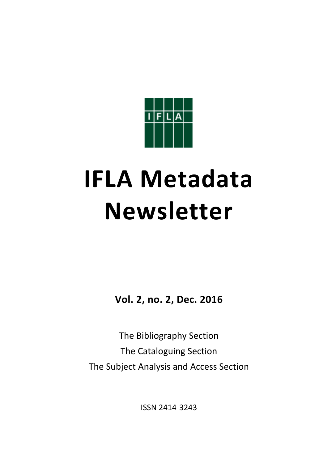

# **IFLA Metadata Newsletter**

**Vol. 2, no. 2, Dec. 2016**

The Bibliography Section The Cataloguing Section The Subject Analysis and Access Section

ISSN 2414‐3243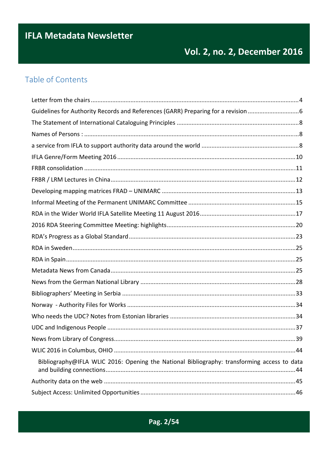# **IFLA Metadata Newsletter**

# Vol. 2, no. 2, December 2016

## Table of Contents

| Guidelines for Authority Records and References (GARR) Preparing for a revision 6           |
|---------------------------------------------------------------------------------------------|
|                                                                                             |
|                                                                                             |
|                                                                                             |
|                                                                                             |
|                                                                                             |
|                                                                                             |
|                                                                                             |
|                                                                                             |
|                                                                                             |
|                                                                                             |
|                                                                                             |
|                                                                                             |
|                                                                                             |
|                                                                                             |
|                                                                                             |
|                                                                                             |
|                                                                                             |
|                                                                                             |
|                                                                                             |
|                                                                                             |
|                                                                                             |
| Bibliography@IFLA WLIC 2016: Opening the National Bibliography: transforming access to data |
|                                                                                             |
|                                                                                             |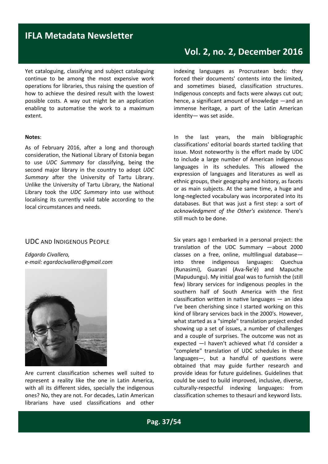## **IFLA Metadata Newsletter**

Yet cataloguing, classifying and subject cataloguing continue to be among the most expensive work operations for libraries, thus raising the question of how to achieve the desired result with the lowest possible costs. A way out might be an application enabling to automatise the work to a maximum extent.

#### **Notes**:

As of February 2016, after a long and thorough consideration, the National Library of Estonia began to use *UDC Summary* for classifying, being the second major library in the country to adopt *UDC Summary* after the University of Tartu Library. Unlike the University of Tartu Library, the National Library took the *UDC Summary* into use without localising its currently valid table according to the local circumstances and needs.

#### UDC AND INDIGENOUS PEOPLE

*Edgardo Civallero, e‐mail: egardocivallero@gmail.com*



Are current classification schemes well suited to represent a reality like the one in Latin America, with all its different sides, specially the indigenous ones? No, they are not. For decades, Latin American librarians have used classifications and other

## **Vol. 2, no. 2, December 2016**

indexing languages as Procrustean beds: they forced their documents' contents into the limited, and sometimes biased, classification structures. Indigenous concepts and facts were always cut out; hence, a significant amount of knowledge ―and an immense heritage, a part of the Latin American identity- was set aside.

In the last years, the main bibliographic classifications' editorial boards started tackling that issue. Most noteworthy is the effort made by UDC to include a large number of American indigenous languages in its schedules. This allowed the expression of languages and literatures as well as ethnic groups, their geography and history, as facets or as main subjects. At the same time, a huge and long‐neglected vocabulary was incorporated into its databases. But that was just a first step: a sort of *acknowledgment of the Other's existence*. There's still much to be done.

Six years ago I embarked in a personal project: the translation of the UDC Summary -about 2000 classes on a free, online, multilingual databaseinto three indigenous languages: Quechua (Runasimi), Guaraní (Ava‐Ñe'é) and Mapuche (Mapudungu). My initial goal was to furnish the (still few) library services for indigenous peoples in the southern half of South America with the first classification written in native languages  $-$  an idea I've been cherishing since I started working on this kind of library services back in the 2000's. However, what started as a "simple" translation project ended showing up a set of issues, a number of challenges and a couple of surprises. The outcome was not as expected ―I haven't achieved what I'd consider a "complete" translation of UDC schedules in these  $languages$ , but a handful of questions were obtained that may guide further research and provide ideas for future guidelines. Guidelines that could be used to build improved, inclusive, diverse, culturally‐respectful indexing languages: from classification schemes to thesauri and keyword lists.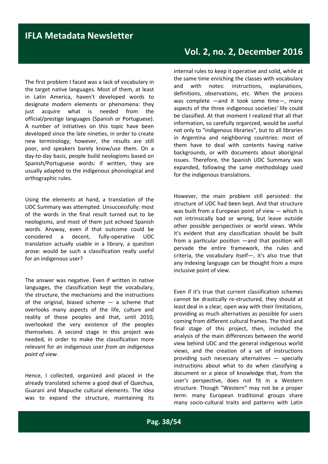The first problem I faced was a lack of vocabulary in the target native languages. Most of them, at least in Latin America, haven't developed words to designate modern elements or phenomena: they just acquire what is needed from the official/prestige languages (Spanish or Portuguese). A number of initiatives on this topic have been developed since the late nineties, in order to create new terminology; however, the results are still poor, and speakers barely know/use them. On a day‐to‐day basis, people build neologisms based on Spanish/Portuguese words: if written, they are usually adapted to the indigenous phonological and orthographic rules.

Using the elements at hand, a translation of the UDC Summary was attempted. Unsuccessfully: most of the words in the final result turned out to be neologisms, and most of them just echoed Spanish words. Anyway, even if that outcome could be considered a decent, fully‐operative UDC translation actually usable in a library, a question arose: would be such a classification really useful for an indigenous user?

The answer was negative. Even if written in native languages, the classification kept the vocabulary, the structure, the mechanisms and the instructions of the original, biased scheme  $-$  a scheme that overlooks many aspects of the life, culture and reality of these peoples and that, until 2010, overlooked the very existence of the peoples themselves. A second stage in this project was needed, in order to make the classification more relevant for an indigenous user *from an indigenous point of view*.

Hence, I collected, organized and placed in the already translated scheme a good deal of Quechua, Guaraní and Mapuche cultural elements. The idea was to expand the structure, maintaining its

internal rules to keep it operative and solid, while at the same time enriching the classes with vocabulary and with notes: instructions, explanations, definitions, observations, etc. When the process was complete  $-$ and it took some time $-$ , many aspects of the three indigenous societies' life could be classified. At that moment I realized that all that information, so carefully organized, would be useful not only to "indigenous libraries", but to all libraries in Argentina and neighboring countries: most of them have to deal with contents having native backgrounds, or with documents about aboriginal issues. Therefore, the Spanish UDC Summary was expanded, following the same methodology used for the indigenous translations.

However, the main problem still persisted: the structure of UDC had been kept. And that structure was built from a European point of view ― which is not intrinsically bad or wrong, but leave outside other possible perspectives or world views. While it's evident that any classification should be built from a particular position  $-$ and that position will pervade the entire framework, the rules and criteria, the vocabulary itself―, it's also true that any indexing language can be thought from a more inclusive point of view.

Even if it's true that current classification schemes cannot be drastically re‐structured, they should at least deal in a clear, open way with their limitations, providing as much alternatives as possible for users coming from different cultural frames. The third and final stage of this project, then, included the analysis of the main differences between the world view behind UDC and the general indigenous world views, and the creation of a set of instructions providing such necessary alternatives ― specially instructions about what to do when classifying a document or a piece of knowledge that, from the user's perspective, does not fit in a Western structure. Though "Western" may not be a proper term: many European traditional groups share many socio-cultural traits and patterns with Latin